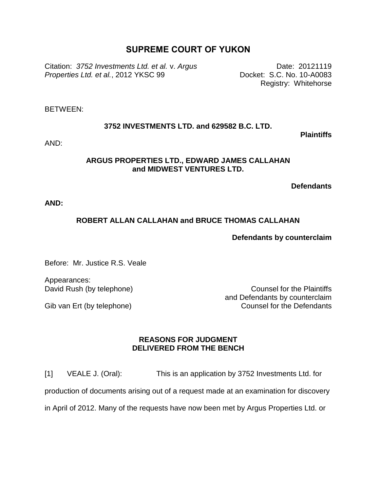# **SUPREME COURT OF YUKON**

Citation: *3752 Investments Ltd. et al.* v. *Argus Properties Ltd. et al.*, 2012 YKSC 99

Date: 20121119 Docket: S.C. No. 10-A0083 Registry: Whitehorse

BETWEEN:

### **3752 INVESTMENTS LTD. and 629582 B.C. LTD.**

**Plaintiffs**

AND:

### **ARGUS PROPERTIES LTD., EDWARD JAMES CALLAHAN and MIDWEST VENTURES LTD.**

**Defendants**

**AND:**

## **ROBERT ALLAN CALLAHAN and BRUCE THOMAS CALLAHAN**

### **Defendants by counterclaim**

Before: Mr. Justice R.S. Veale

Appearances: David Rush (by telephone)

Gib van Ert (by telephone)

Counsel for the Plaintiffs and Defendants by counterclaim Counsel for the Defendants

### **REASONS FOR JUDGMENT DELIVERED FROM THE BENCH**

[1] VEALE J. (Oral): This is an application by 3752 Investments Ltd. for production of documents arising out of a request made at an examination for discovery in April of 2012. Many of the requests have now been met by Argus Properties Ltd. or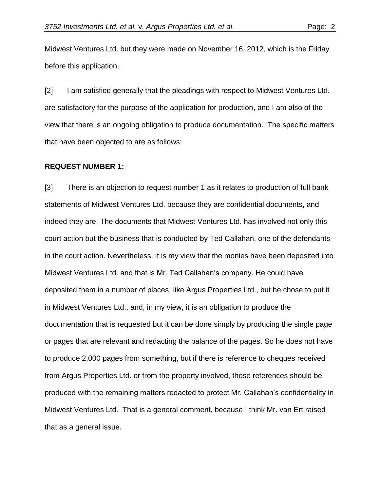Midwest Ventures Ltd. but they were made on November 16, 2012, which is the Friday before this application.

[2] I am satisfied generally that the pleadings with respect to Midwest Ventures Ltd. are satisfactory for the purpose of the application for production, and I am also of the view that there is an ongoing obligation to produce documentation. The specific matters that have been objected to are as follows:

#### **REQUEST NUMBER 1:**

[3] There is an objection to request number 1 as it relates to production of full bank statements of Midwest Ventures Ltd. because they are confidential documents, and indeed they are. The documents that Midwest Ventures Ltd. has involved not only this court action but the business that is conducted by Ted Callahan, one of the defendants in the court action. Nevertheless, it is my view that the monies have been deposited into Midwest Ventures Ltd. and that is Mr. Ted Callahan's company. He could have deposited them in a number of places, like Argus Properties Ltd., but he chose to put it in Midwest Ventures Ltd., and, in my view, it is an obligation to produce the documentation that is requested but it can be done simply by producing the single page or pages that are relevant and redacting the balance of the pages. So he does not have to produce 2,000 pages from something, but if there is reference to cheques received from Argus Properties Ltd. or from the property involved, those references should be produced with the remaining matters redacted to protect Mr. Callahan's confidentiality in Midwest Ventures Ltd. That is a general comment, because I think Mr. van Ert raised that as a general issue.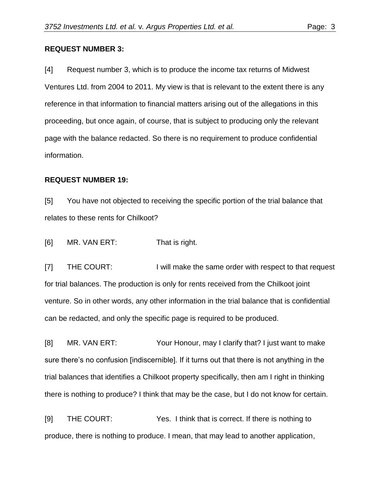#### **REQUEST NUMBER 3:**

[4] Request number 3, which is to produce the income tax returns of Midwest Ventures Ltd. from 2004 to 2011. My view is that is relevant to the extent there is any reference in that information to financial matters arising out of the allegations in this proceeding, but once again, of course, that is subject to producing only the relevant page with the balance redacted. So there is no requirement to produce confidential information.

#### **REQUEST NUMBER 19:**

[5] You have not objected to receiving the specific portion of the trial balance that relates to these rents for Chilkoot?

[6] MR. VAN ERT: That is right.

[7] THE COURT: I will make the same order with respect to that request for trial balances. The production is only for rents received from the Chilkoot joint venture. So in other words, any other information in the trial balance that is confidential can be redacted, and only the specific page is required to be produced.

[8] MR. VAN ERT: Your Honour, may I clarify that? I just want to make sure there's no confusion [indiscernible]. If it turns out that there is not anything in the trial balances that identifies a Chilkoot property specifically, then am I right in thinking there is nothing to produce? I think that may be the case, but I do not know for certain.

[9] THE COURT: Yes. I think that is correct. If there is nothing to produce, there is nothing to produce. I mean, that may lead to another application,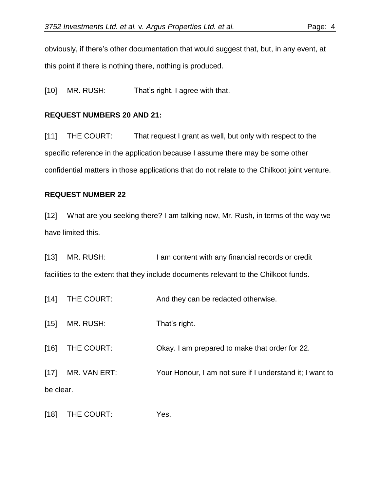obviously, if there's other documentation that would suggest that, but, in any event, at this point if there is nothing there, nothing is produced.

[10] MR. RUSH: That's right. I agree with that.

# **REQUEST NUMBERS 20 AND 21:**

[11] THE COURT: That request I grant as well, but only with respect to the specific reference in the application because I assume there may be some other confidential matters in those applications that do not relate to the Chilkoot joint venture.

# **REQUEST NUMBER 22**

[12] What are you seeking there? I am talking now, Mr. Rush, in terms of the way we have limited this.

[13] MR. RUSH: I am content with any financial records or credit facilities to the extent that they include documents relevant to the Chilkoot funds.

[14] THE COURT: And they can be redacted otherwise.

[15] MR. RUSH: That's right.

[16] THE COURT: Okay. I am prepared to make that order for 22.

[17] MR. VAN ERT: Your Honour, I am not sure if I understand it; I want to be clear.

[18] THE COURT: Yes.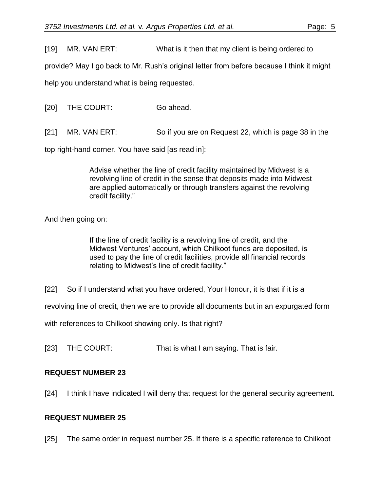[19] MR. VAN ERT: What is it then that my client is being ordered to

provide? May I go back to Mr. Rush's original letter from before because I think it might

help you understand what is being requested.

[20] THE COURT: Go ahead.

[21] MR. VAN ERT: So if you are on Request 22, which is page 38 in the

top right-hand corner. You have said [as read in]:

Advise whether the line of credit facility maintained by Midwest is a revolving line of credit in the sense that deposits made into Midwest are applied automatically or through transfers against the revolving credit facility."

And then going on:

If the line of credit facility is a revolving line of credit, and the Midwest Ventures' account, which Chilkoot funds are deposited, is used to pay the line of credit facilities, provide all financial records relating to Midwest's line of credit facility."

[22] So if I understand what you have ordered, Your Honour, it is that if it is a

revolving line of credit, then we are to provide all documents but in an expurgated form

with references to Chilkoot showing only. Is that right?

[23] THE COURT: That is what I am saying. That is fair.

# **REQUEST NUMBER 23**

[24] I think I have indicated I will deny that request for the general security agreement.

# **REQUEST NUMBER 25**

[25] The same order in request number 25. If there is a specific reference to Chilkoot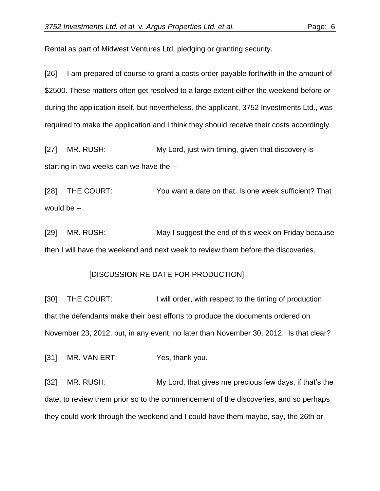Rental as part of Midwest Ventures Ltd. pledging or granting security.

[26] I am prepared of course to grant a costs order payable forthwith in the amount of \$2500. These matters often get resolved to a large extent either the weekend before or during the application itself, but nevertheless, the applicant, 3752 Investments Ltd., was required to make the application and I think they should receive their costs accordingly.

[27] MR. RUSH: My Lord, just with timing, given that discovery is starting in two weeks can we have the --

[28] THE COURT: You want a date on that. Is one week sufficient? That would be --

[29] MR. RUSH: May I suggest the end of this week on Friday because then I will have the weekend and next week to review them before the discoveries.

### [DISCUSSION RE DATE FOR PRODUCTION]

[30] THE COURT: I will order, with respect to the timing of production, that the defendants make their best efforts to produce the documents ordered on November 23, 2012, but, in any event, no later than November 30, 2012. Is that clear?

[31] MR. VAN ERT: Yes, thank you.

[32] MR. RUSH: My Lord, that gives me precious few days, if that's the date, to review them prior so to the commencement of the discoveries, and so perhaps they could work through the weekend and I could have them maybe, say, the 26th or